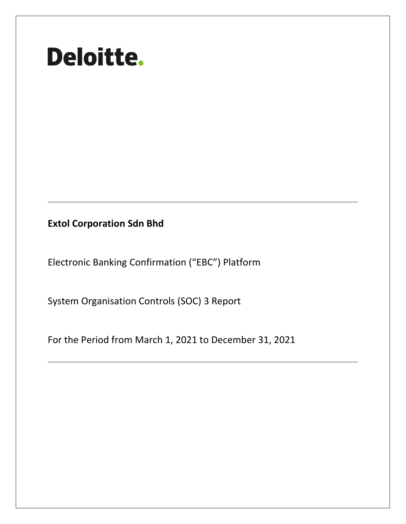# **Deloitte.**

**Extol Corporation Sdn Bhd**

Electronic Banking Confirmation ("EBC") Platform

System Organisation Controls (SOC) 3 Report

For the Period from March 1, 2021 to December 31, 2021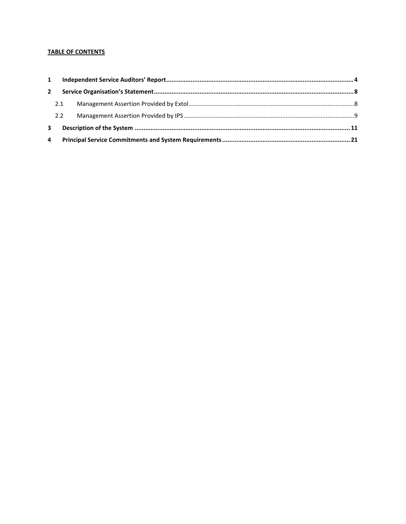# **TABLE OF CONTENTS**

|   | $\mathbf{2}$ |  |  |  |
|---|--------------|--|--|--|
|   | 2.1          |  |  |  |
|   | 2.2          |  |  |  |
| 3 |              |  |  |  |
| 4 |              |  |  |  |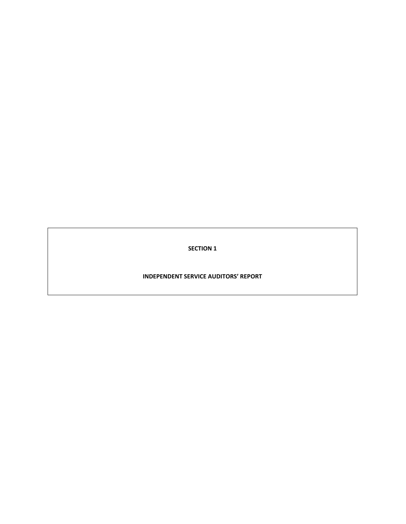**SECTION 1**

**INDEPENDENT SERVICE AUDITORS' REPORT**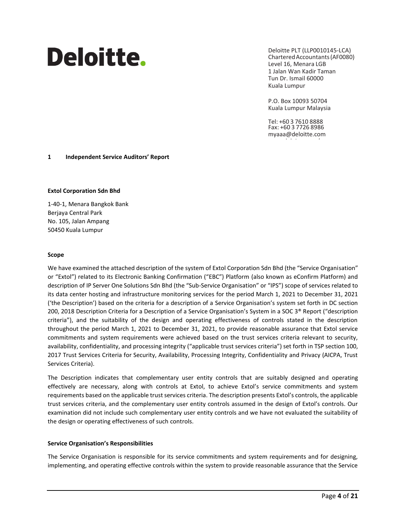# Deloitte.

Deloitte PLT (LLP0010145-LCA) CharteredAccountants(AF0080) Level 16, Menara LGB 1 Jalan Wan Kadir Taman Tun Dr. Ismail 60000 Kuala Lumpur

P.O. Box 10093 50704 Kuala Lumpur Malaysia

Tel: +60 3 7610 8888 Fax: +60 3 7726 8986 [myaaa@deloitte.com](mailto:myaaa@deloitte.com)

[www.deloitte.com/my](http://www.deloitte.com/my)

# <span id="page-3-0"></span>**1 Independent Service Auditors' Report**

#### **Extol Corporation Sdn Bhd**

1-40-1, Menara Bangkok Bank Berjaya Central Park No. 105, Jalan Ampang 50450 Kuala Lumpur

#### **Scope**

We have examined the attached description of the system of Extol Corporation Sdn Bhd (the "Service Organisation" or "Extol") related to its Electronic Banking Confirmation ("EBC") Platform (also known as eConfirm Platform) and description of IP Server One Solutions Sdn Bhd (the "Sub-Service Organisation" or "IPS") scope of services related to its data center hosting and infrastructure monitoring services for the period March 1, 2021 to December 31, 2021 ('the Description') based on the criteria for a description of a Service Organisation's system set forth in DC section 200, 2018 Description Criteria for a Description of a Service Organisation's System in a SOC 3® Report ("description criteria"), and the suitability of the design and operating effectiveness of controls stated in the description throughout the period March 1, 2021 to December 31, 2021, to provide reasonable assurance that Extol service commitments and system requirements were achieved based on the trust services criteria relevant to security, availability, confidentiality, and processing integrity ("applicable trust services criteria") set forth in TSP section 100, 2017 Trust Services Criteria for Security, Availability, Processing Integrity, Confidentiality and Privacy (AICPA, Trust Services Criteria).

The Description indicates that complementary user entity controls that are suitably designed and operating effectively are necessary, along with controls at Extol, to achieve Extol's service commitments and system requirements based on the applicable trust services criteria. The description presents Extol's controls, the applicable trust services criteria, and the complementary user entity controls assumed in the design of Extol's controls. Our examination did not include such complementary user entity controls and we have not evaluated the suitability of the design or operating effectiveness of such controls.

#### **Service Organisation's Responsibilities**

The Service Organisation is responsible for its service commitments and system requirements and for designing, implementing, and operating effective controls within the system to provide reasonable assurance that the Service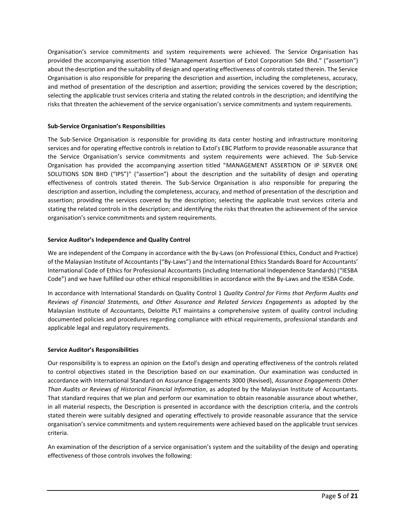Organisation's service commitments and system requirements were achieved. The Service Organisation has provided the accompanying assertion titled "Management Assertion of Extol Corporation Sdn Bhd." ("assertion") about the description and the suitability of design and operating effectiveness of controls stated therein. The Service Organisation is also responsible for preparing the description and assertion, including the completeness, accuracy, and method of presentation of the description and assertion; providing the services covered by the description; selecting the applicable trust services criteria and stating the related controls in the description; and identifying the risks that threaten the achievement of the service organisation's service commitments and system requirements.

# **Sub-Service Organisation's Responsibilities**

The Sub-Service Organisation is responsible for providing its data center hosting and infrastructure monitoring services and for operating effective controls in relation to Extol's EBC Platform to provide reasonable assurance that the Service Organisation's service commitments and system requirements were achieved. The Sub-Service Organisation has provided the accompanying assertion titled "MANAGEMENT ASSERTION OF IP SERVER ONE SOLUTIONS SDN BHD ("IPS")" ("assertion") about the description and the suitability of design and operating effectiveness of controls stated therein. The Sub-Service Organisation is also responsible for preparing the description and assertion, including the completeness, accuracy, and method of presentation of the description and assertion; providing the services covered by the description; selecting the applicable trust services criteria and stating the related controls in the description; and identifying the risks that threaten the achievement of the service organisation's service commitments and system requirements.

# **Service Auditor's Independence and Quality Control**

We are independent of the Company in accordance with the By-Laws (on Professional Ethics, Conduct and Practice) of the Malaysian Institute of Accountants ("By-Laws") and the International Ethics Standards Board for Accountants' International Code of Ethics for Professional Accountants (including International Independence Standards) ("IESBA Code") and we have fulfilled our other ethical responsibilities in accordance with the By-Laws and the IESBA Code.

In accordance with International Standards on Quality Control 1 *Quality Control for Firms that Perform Audits and Reviews of Financial Statements, and Other Assurance and Related Services Engagements* as adopted by the Malaysian Institute of Accountants, Deloitte PLT maintains a comprehensive system of quality control including documented policies and procedures regarding compliance with ethical requirements, professional standards and applicable legal and regulatory requirements.

# **Service Auditor's Responsibilities**

Our responsibility is to express an opinion on the Extol's design and operating effectiveness of the controls related to control objectives stated in the Description based on our examination. Our examination was conducted in accordance with International Standard on Assurance Engagements 3000 (Revised), *Assurance Engagements Other Than Audits or Reviews of Historical Financial Information*, as adopted by the Malaysian Institute of Accountants. That standard requires that we plan and perform our examination to obtain reasonable assurance about whether, in all material respects, the Description is presented in accordance with the description criteria, and the controls stated therein were suitably designed and operating effectively to provide reasonable assurance that the service organisation's service commitments and system requirements were achieved based on the applicable trust services criteria.

An examination of the description of a service organisation's system and the suitability of the design and operating effectiveness of those controls involves the following: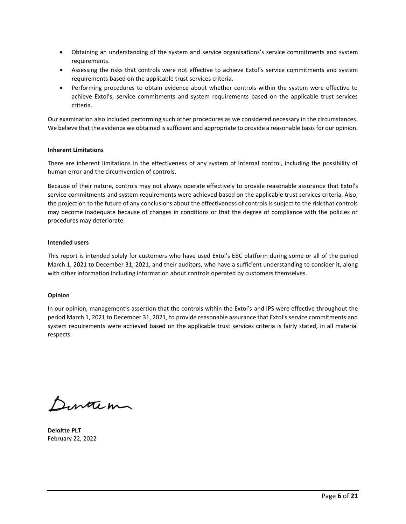- Obtaining an understanding of the system and service organisations's service commitments and system requirements.
- Assessing the risks that controls were not effective to achieve Extol's service commitments and system requirements based on the applicable trust services criteria.
- Performing procedures to obtain evidence about whether controls within the system were effective to achieve Extol's, service commitments and system requirements based on the applicable trust services criteria.

Our examination also included performing such other procedures as we considered necessary in the circumstances. We believe that the evidence we obtained is sufficient and appropriate to provide a reasonable basis for our opinion.

# **Inherent Limitations**

There are inherent limitations in the effectiveness of any system of internal control, including the possibility of human error and the circumvention of controls.

Because of their nature, controls may not always operate effectively to provide reasonable assurance that Extol's service commitments and system requirements were achieved based on the applicable trust services criteria. Also, the projection to the future of any conclusions about the effectiveness of controls is subject to the risk that controls may become inadequate because of changes in conditions or that the degree of compliance with the policies or procedures may deteriorate.

# **Intended users**

This report is intended solely for customers who have used Extol's EBC platform during some or all of the period March 1, 2021 to December 31, 2021, and their auditors, who have a sufficient understanding to consider it, along with other information including information about controls operated by customers themselves.

# **Opinion**

In our opinion, management's assertion that the controls within the Extol's and IPS were effective throughout the period March 1, 2021 to December 31, 2021, to provide reasonable assurance that Extol's service commitments and system requirements were achieved based on the applicable trust services criteria is fairly stated, in all material respects.

Dinacin

**Deloitte PLT** February 22, 2022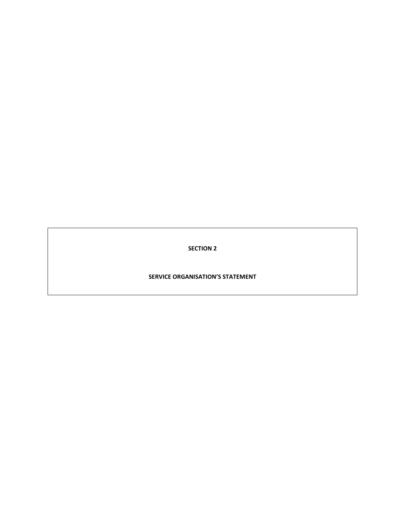**SECTION 2**

**SERVICE ORGANISATION'S STATEMENT**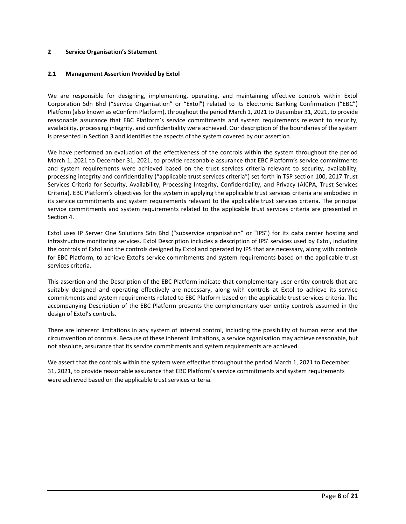#### <span id="page-7-0"></span>**2 Service Organisation's Statement**

#### <span id="page-7-1"></span>**2.1 Management Assertion Provided by Extol**

We are responsible for designing, implementing, operating, and maintaining effective controls within Extol Corporation Sdn Bhd ("Service Organisation" or "Extol") related to its Electronic Banking Confirmation ("EBC") Platform (also known as eConfirm Platform), throughout the period March 1, 2021 to December 31, 2021, to provide reasonable assurance that EBC Platform's service commitments and system requirements relevant to security, availability, processing integrity, and confidentiality were achieved. Our description of the boundaries of the system is presented in Section 3 and identifies the aspects of the system covered by our assertion.

We have performed an evaluation of the effectiveness of the controls within the system throughout the period March 1, 2021 to December 31, 2021, to provide reasonable assurance that EBC Platform's service commitments and system requirements were achieved based on the trust services criteria relevant to security, availability, processing integrity and confidentiality ("applicable trust services criteria") set forth in TSP section 100, 2017 Trust Services Criteria for Security, Availability, Processing Integrity, Confidentiality, and Privacy (AICPA, Trust Services Criteria). EBC Platform's objectives for the system in applying the applicable trust services criteria are embodied in its service commitments and system requirements relevant to the applicable trust services criteria. The principal service commitments and system requirements related to the applicable trust services criteria are presented in Section 4.

Extol uses IP Server One Solutions Sdn Bhd ("subservice organisation" or "IPS") for its data center hosting and infrastructure monitoring services. Extol Description includes a description of IPS' services used by Extol, including the controls of Extol and the controls designed by Extol and operated by IPS that are necessary, along with controls for EBC Platform, to achieve Extol's service commitments and system requirements based on the applicable trust services criteria.

This assertion and the Description of the EBC Platform indicate that complementary user entity controls that are suitably designed and operating effectively are necessary, along with controls at Extol to achieve its service commitments and system requirements related to EBC Platform based on the applicable trust services criteria. The accompanying Description of the EBC Platform presents the complementary user entity controls assumed in the design of Extol's controls.

There are inherent limitations in any system of internal control, including the possibility of human error and the circumvention of controls. Because of these inherent limitations, a service organisation may achieve reasonable, but not absolute, assurance that its service commitments and system requirements are achieved.

We assert that the controls within the system were effective throughout the period March 1, 2021 to December 31, 2021, to provide reasonable assurance that EBC Platform's service commitments and system requirements were achieved based on the applicable trust services criteria.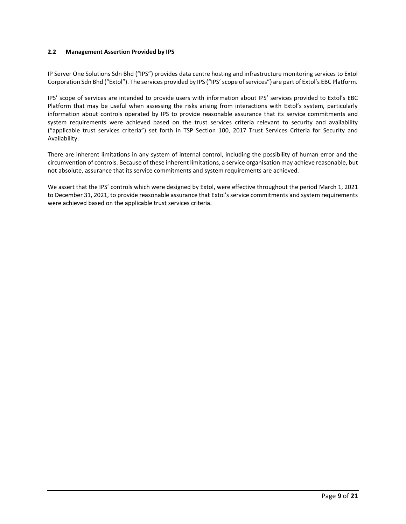# <span id="page-8-0"></span>**2.2 Management Assertion Provided by IPS**

IP Server One Solutions Sdn Bhd ("IPS") provides data centre hosting and infrastructure monitoring services to Extol Corporation Sdn Bhd ("Extol"). The services provided by IPS ("IPS' scope of services") are part of Extol's EBC Platform.

IPS' scope of services are intended to provide users with information about IPS' services provided to Extol's EBC Platform that may be useful when assessing the risks arising from interactions with Extol's system, particularly information about controls operated by IPS to provide reasonable assurance that its service commitments and system requirements were achieved based on the trust services criteria relevant to security and availability ("applicable trust services criteria") set forth in TSP Section 100, 2017 Trust Services Criteria for Security and Availability.

There are inherent limitations in any system of internal control, including the possibility of human error and the circumvention of controls. Because of these inherent limitations, a service organisation may achieve reasonable, but not absolute, assurance that its service commitments and system requirements are achieved.

We assert that the IPS' controls which were designed by Extol, were effective throughout the period March 1, 2021 to December 31, 2021, to provide reasonable assurance that Extol's service commitments and system requirements were achieved based on the applicable trust services criteria.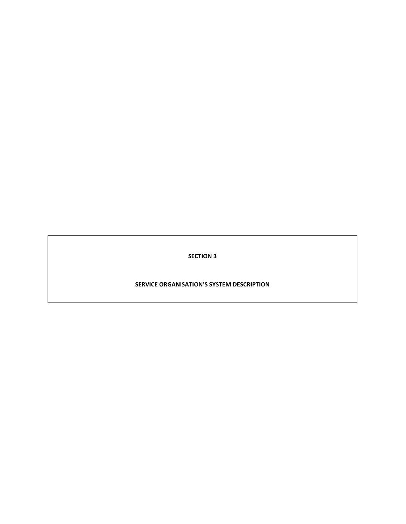**SECTION 3**

# **SERVICE ORGANISATION'S SYSTEM DESCRIPTION**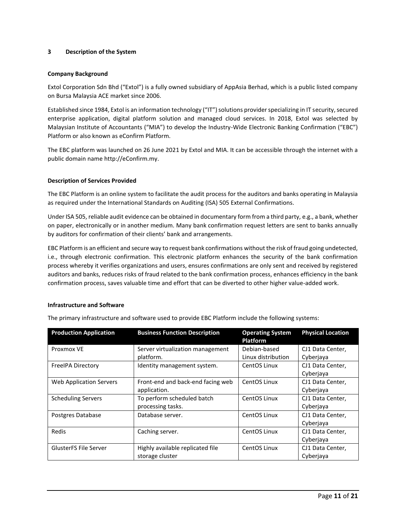#### <span id="page-10-0"></span>**3 Description of the System**

#### **Company Background**

Extol Corporation Sdn Bhd ("Extol") is a fully owned subsidiary of AppAsia Berhad, which is a public listed company on Bursa Malaysia ACE market since 2006.

Established since 1984, Extol is an information technology ("IT") solutions provider specializing in IT security, secured enterprise application, digital platform solution and managed cloud services. In 2018, Extol was selected by Malaysian Institute of Accountants ("MIA") to develop the Industry-Wide Electronic Banking Confirmation ("EBC") Platform or also known as eConfirm Platform.

The EBC platform was launched on 26 June 2021 by Extol and MIA. It can be accessible through the internet with a public domain name [http://eConfirm.my.](http://econfirm.my/)

#### **Description of Services Provided**

The EBC Platform is an online system to facilitate the audit process for the auditors and banks operating in Malaysia as required under the International Standards on Auditing (ISA) 505 External Confirmations.

Under ISA 505, reliable audit evidence can be obtained in documentary form from a third party, e.g., a bank, whether on paper, electronically or in another medium. Many bank confirmation request letters are sent to banks annually by auditors for confirmation of their clients' bank and arrangements.

EBC Platform is an efficient and secure way to request bank confirmations without the risk of fraud going undetected, i.e., through electronic confirmation. This electronic platform enhances the security of the bank confirmation process whereby it verifies organizations and users, ensures confirmations are only sent and received by registered auditors and banks, reduces risks of fraud related to the bank confirmation process, enhances efficiency in the bank confirmation process, saves valuable time and effort that can be diverted to other higher value-added work.

#### **Infrastructure and Software**

| <b>Production Application</b>  | <b>Business Function Description</b>                | <b>Operating System</b><br><b>Platform</b> | <b>Physical Location</b>      |
|--------------------------------|-----------------------------------------------------|--------------------------------------------|-------------------------------|
| Proxmox VE                     | Server virtualization management                    | Debian-based                               | CJ1 Data Center,              |
|                                | platform.                                           | Linux distribution                         | Cyberjaya                     |
| <b>FreeIPA Directory</b>       | Identity management system.                         | CentOS Linux                               | CJ1 Data Center,<br>Cyberjaya |
| <b>Web Application Servers</b> | Front-end and back-end facing web<br>application.   | CentOS Linux                               | CJ1 Data Center,<br>Cyberjaya |
| <b>Scheduling Servers</b>      | To perform scheduled batch<br>processing tasks.     | CentOS Linux                               | CJ1 Data Center,<br>Cyberjaya |
| Postgres Database              | Database server.                                    | CentOS Linux                               | CJ1 Data Center,<br>Cyberjaya |
| Redis                          | Caching server.                                     | CentOS Linux                               | CJ1 Data Center,<br>Cyberjaya |
| <b>GlusterFS File Server</b>   | Highly available replicated file<br>storage cluster | CentOS Linux                               | CJ1 Data Center,<br>Cyberjaya |

The primary infrastructure and software used to provide EBC Platform include the following systems: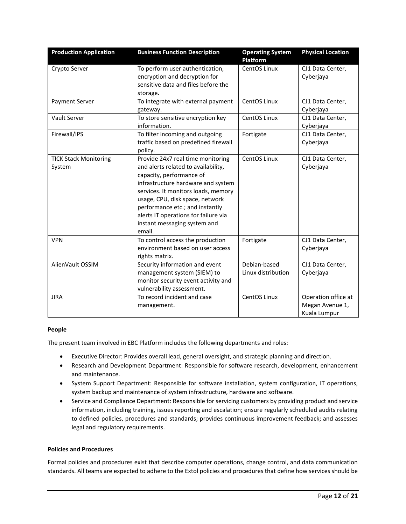| <b>Production Application</b>          | <b>Business Function Description</b>                                                                                                                                                                                                                                                                                                      | <b>Operating System</b><br>Platform | <b>Physical Location</b>                               |
|----------------------------------------|-------------------------------------------------------------------------------------------------------------------------------------------------------------------------------------------------------------------------------------------------------------------------------------------------------------------------------------------|-------------------------------------|--------------------------------------------------------|
| Crypto Server                          | To perform user authentication,<br>encryption and decryption for<br>sensitive data and files before the<br>storage.                                                                                                                                                                                                                       | CentOS Linux                        | CJ1 Data Center,<br>Cyberjaya                          |
| <b>Payment Server</b>                  | To integrate with external payment<br>gateway.                                                                                                                                                                                                                                                                                            | CentOS Linux                        | CJ1 Data Center,<br>Cyberjaya                          |
| Vault Server                           | To store sensitive encryption key<br>information.                                                                                                                                                                                                                                                                                         | CentOS Linux                        | CJ1 Data Center,<br>Cyberjaya                          |
| Firewall/IPS                           | To filter incoming and outgoing<br>traffic based on predefined firewall<br>policy.                                                                                                                                                                                                                                                        | Fortigate                           | CJ1 Data Center,<br>Cyberjaya                          |
| <b>TICK Stack Monitoring</b><br>System | Provide 24x7 real time monitoring<br>and alerts related to availability,<br>capacity, performance of<br>infrastructure hardware and system<br>services. It monitors loads, memory<br>usage, CPU, disk space, network<br>performance etc.; and instantly<br>alerts IT operations for failure via<br>instant messaging system and<br>email. | CentOS Linux                        | CJ1 Data Center,<br>Cyberjaya                          |
| <b>VPN</b>                             | To control access the production<br>environment based on user access<br>rights matrix.                                                                                                                                                                                                                                                    | Fortigate                           | CJ1 Data Center,<br>Cyberjaya                          |
| AlienVault OSSIM                       | Security information and event<br>management system (SIEM) to<br>monitor security event activity and<br>vulnerability assessment.                                                                                                                                                                                                         | Debian-based<br>Linux distribution  | CJ1 Data Center,<br>Cyberjaya                          |
| <b>JIRA</b>                            | To record incident and case<br>management.                                                                                                                                                                                                                                                                                                | CentOS Linux                        | Operation office at<br>Megan Avenue 1,<br>Kuala Lumpur |

# **People**

The present team involved in EBC Platform includes the following departments and roles:

- Executive Director: Provides overall lead, general oversight, and strategic planning and direction.
- Research and Development Department: Responsible for software research, development, enhancement and maintenance.
- System Support Department: Responsible for software installation, system configuration, IT operations, system backup and maintenance of system infrastructure, hardware and software.
- Service and Compliance Department: Responsible for servicing customers by providing product and service information, including training, issues reporting and escalation; ensure regularly scheduled audits relating to defined policies, procedures and standards; provides continuous improvement feedback; and assesses legal and regulatory requirements.

# **Policies and Procedures**

Formal policies and procedures exist that describe computer operations, change control, and data communication standards. All teams are expected to adhere to the Extol policies and procedures that define how services should be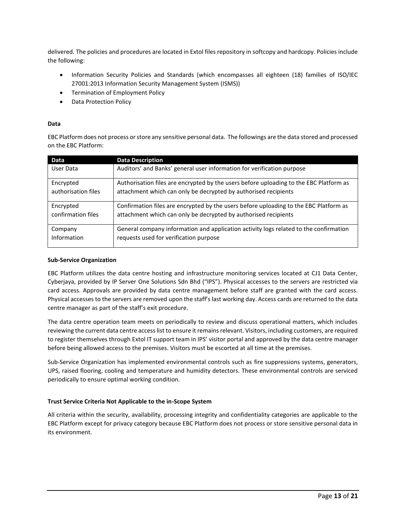delivered. The policies and procedures are located in Extol files repository in softcopy and hardcopy. Policies include the following:

- Information Security Policies and Standards (which encompasses all eighteen (18) families of ISO/IEC 27001:2013 Information Security Management System (ISMS))
- Termination of Employment Policy
- Data Protection Policy

# **Data**

EBC Platform does not process or store any sensitive personal data. The followings are the data stored and processed on the EBC Platform:

| Data                | <b>Data Description</b>                                                                |
|---------------------|----------------------------------------------------------------------------------------|
| User Data           | Auditors' and Banks' general user information for verification purpose                 |
| Encrypted           | Authorisation files are encrypted by the users before uploading to the EBC Platform as |
| authorisation files | attachment which can only be decrypted by authorised recipients                        |
| Encrypted           | Confirmation files are encrypted by the users before uploading to the EBC Platform as  |
| confirmation files  | attachment which can only be decrypted by authorised recipients                        |
| Company             | General company information and application activity logs related to the confirmation  |
| Information         | requests used for verification purpose                                                 |

#### **Sub-Service Organization**

EBC Platform utilizes the data centre hosting and infrastructure monitoring services located at CJ1 Data Center, Cyberjaya, provided by IP Server One Solutions Sdn Bhd ("IPS"). Physical accesses to the servers are restricted via card access. Approvals are provided by data centre management before staff are granted with the card access. Physical accesses to the servers are removed upon the staff's last working day. Access cards are returned to the data centre manager as part of the staff's exit procedure.

The data centre operation team meets on periodically to review and discuss operational matters, which includes reviewing the current data centre access list to ensure it remains relevant. Visitors, including customers, are required to register themselves through Extol IT support team in IPS' visitor portal and approved by the data centre manager before being allowed access to the premises. Visitors must be escorted at all time at the premises.

Sub-Service Organization has implemented environmental controls such as fire suppressions systems, generators, UPS, raised flooring, cooling and temperature and humidity detectors. These environmental controls are serviced periodically to ensure optimal working condition.

# **Trust Service Criteria Not Applicable to the in-Scope System**

All criteria within the security, availability, processing integrity and confidentiality categories are applicable to the EBC Platform except for privacy category because EBC Platform does not process or store sensitive personal data in its environment.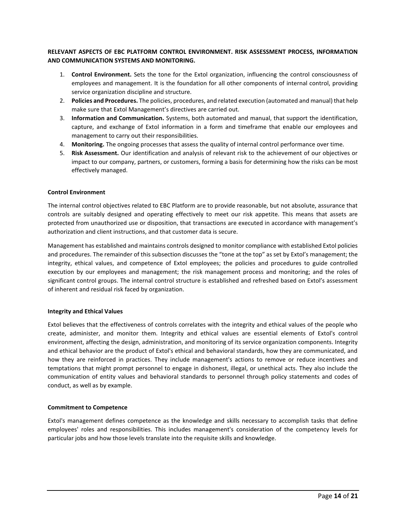# **RELEVANT ASPECTS OF EBC PLATFORM CONTROL ENVIRONMENT. RISK ASSESSMENT PROCESS, INFORMATION AND COMMUNICATION SYSTEMS AND MONITORING.**

- 1. **Control Environment.** Sets the tone for the Extol organization, influencing the control consciousness of employees and management. It is the foundation for all other components of internal control, providing service organization discipline and structure.
- 2. **Policies and Procedures.** The policies, procedures, and related execution (automated and manual) that help make sure that Extol Management's directives are carried out.
- 3. **Information and Communication.** Systems, both automated and manual, that support the identification, capture, and exchange of Extol information in a form and timeframe that enable our employees and management to carry out their responsibilities.
- 4. **Monitoring.** The ongoing processes that assess the quality of internal control performance over time.
- 5. **Risk Assessment.** Our identification and analysis of relevant risk to the achievement of our objectives or impact to our company, partners, or customers, forming a basis for determining how the risks can be most effectively managed.

#### **Control Environment**

The internal control objectives related to EBC Platform are to provide reasonable, but not absolute, assurance that controls are suitably designed and operating effectively to meet our risk appetite. This means that assets are protected from unauthorized use or disposition, that transactions are executed in accordance with management's authorization and client instructions, and that customer data is secure.

Management has established and maintains controls designed to monitor compliance with established Extol policies and procedures. The remainder of this subsection discusses the "tone at the top" as set by Extol's management; the integrity, ethical values, and competence of Extol employees; the policies and procedures to guide controlled execution by our employees and management; the risk management process and monitoring; and the roles of significant control groups. The internal control structure is established and refreshed based on Extol's assessment of inherent and residual risk faced by organization.

# **Integrity and Ethical Values**

Extol believes that the effectiveness of controls correlates with the integrity and ethical values of the people who create, administer, and monitor them. Integrity and ethical values are essential elements of Extol's control environment, affecting the design, administration, and monitoring of its service organization components. Integrity and ethical behavior are the product of Extol's ethical and behavioral standards, how they are communicated, and how they are reinforced in practices. They include management's actions to remove or reduce incentives and temptations that might prompt personnel to engage in dishonest, illegal, or unethical acts. They also include the communication of entity values and behavioral standards to personnel through policy statements and codes of conduct, as well as by example.

# **Commitment to Competence**

Extol's management defines competence as the knowledge and skills necessary to accomplish tasks that define employees' roles and responsibilities. This includes management's consideration of the competency levels for particular jobs and how those levels translate into the requisite skills and knowledge.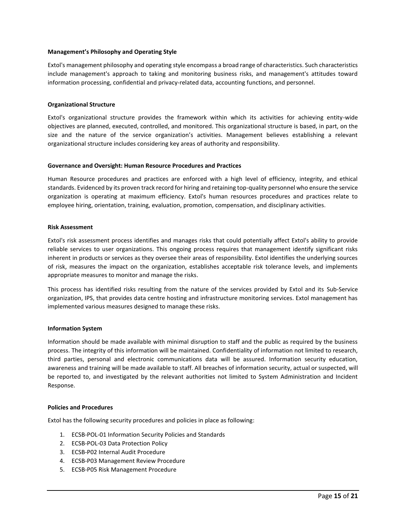#### **Management's Philosophy and Operating Style**

Extol's management philosophy and operating style encompass a broad range of characteristics. Such characteristics include management's approach to taking and monitoring business risks, and management's attitudes toward information processing, confidential and privacy-related data, accounting functions, and personnel.

#### **Organizational Structure**

Extol's organizational structure provides the framework within which its activities for achieving entity-wide objectives are planned, executed, controlled, and monitored. This organizational structure is based, in part, on the size and the nature of the service organization's activities. Management believes establishing a relevant organizational structure includes considering key areas of authority and responsibility.

#### **Governance and Oversight: Human Resource Procedures and Practices**

Human Resource procedures and practices are enforced with a high level of efficiency, integrity, and ethical standards. Evidenced by its proven track record for hiring and retaining top-quality personnel who ensure the service organization is operating at maximum efficiency. Extol's human resources procedures and practices relate to employee hiring, orientation, training, evaluation, promotion, compensation, and disciplinary activities.

#### **Risk Assessment**

Extol's risk assessment process identifies and manages risks that could potentially affect Extol's ability to provide reliable services to user organizations. This ongoing process requires that management identify significant risks inherent in products or services as they oversee their areas of responsibility. Extol identifies the underlying sources of risk, measures the impact on the organization, establishes acceptable risk tolerance levels, and implements appropriate measures to monitor and manage the risks.

This process has identified risks resulting from the nature of the services provided by Extol and its Sub-Service organization, IPS, that provides data centre hosting and infrastructure monitoring services. Extol management has implemented various measures designed to manage these risks.

# **Information System**

Information should be made available with minimal disruption to staff and the public as required by the business process. The integrity of this information will be maintained. Confidentiality of information not limited to research, third parties, personal and electronic communications data will be assured. Information security education, awareness and training will be made available to staff. All breaches of information security, actual or suspected, will be reported to, and investigated by the relevant authorities not limited to System Administration and Incident Response.

# **Policies and Procedures**

Extol has the following security procedures and policies in place as following:

- 1. ECSB-POL-01 Information Security Policies and Standards
- 2. ECSB-POL-03 Data Protection Policy
- 3. ECSB-P02 Internal Audit Procedure
- 4. ECSB-P03 Management Review Procedure
- 5. ECSB-P05 Risk Management Procedure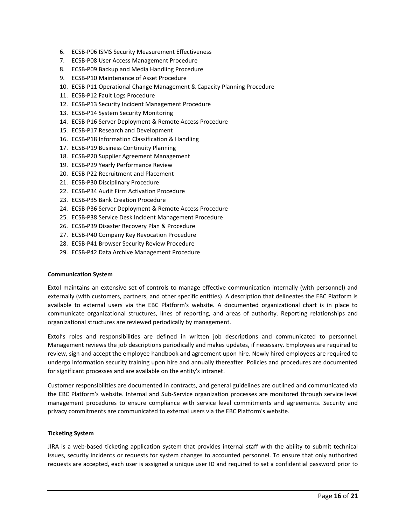- 6. ECSB-P06 ISMS Security Measurement Effectiveness
- 7. ECSB-P08 User Access Management Procedure
- 8. ECSB-P09 Backup and Media Handling Procedure
- 9. ECSB-P10 Maintenance of Asset Procedure
- 10. ECSB-P11 Operational Change Management & Capacity Planning Procedure
- 11. ECSB-P12 Fault Logs Procedure
- 12. ECSB-P13 Security Incident Management Procedure
- 13. ECSB-P14 System Security Monitoring
- 14. ECSB-P16 Server Deployment & Remote Access Procedure
- 15. ECSB-P17 Research and Development
- 16. ECSB-P18 Information Classification & Handling
- 17. ECSB-P19 Business Continuity Planning
- 18. ECSB-P20 Supplier Agreement Management
- 19. ECSB-P29 Yearly Performance Review
- 20. ECSB-P22 Recruitment and Placement
- 21. ECSB-P30 Disciplinary Procedure
- 22. ECSB-P34 Audit Firm Activation Procedure
- 23. ECSB-P35 Bank Creation Procedure
- 24. ECSB-P36 Server Deployment & Remote Access Procedure
- 25. ECSB-P38 Service Desk Incident Management Procedure
- 26. ECSB-P39 Disaster Recovery Plan & Procedure
- 27. ECSB-P40 Company Key Revocation Procedure
- 28. ECSB-P41 Browser Security Review Procedure
- 29. ECSB-P42 Data Archive Management Procedure

#### **Communication System**

Extol maintains an extensive set of controls to manage effective communication internally (with personnel) and externally (with customers, partners, and other specific entities). A description that delineates the EBC Platform is available to external users via the EBC Platform's website. A documented organizational chart is in place to communicate organizational structures, lines of reporting, and areas of authority. Reporting relationships and organizational structures are reviewed periodically by management.

Extol's roles and responsibilities are defined in written job descriptions and communicated to personnel. Management reviews the job descriptions periodically and makes updates, if necessary. Employees are required to review, sign and accept the employee handbook and agreement upon hire. Newly hired employees are required to undergo information security training upon hire and annually thereafter. Policies and procedures are documented for significant processes and are available on the entity's intranet.

Customer responsibilities are documented in contracts, and general guidelines are outlined and communicated via the EBC Platform's website. Internal and Sub-Service organization processes are monitored through service level management procedures to ensure compliance with service level commitments and agreements. Security and privacy commitments are communicated to external users via the EBC Platform's website.

#### **Ticketing System**

JIRA is a web-based ticketing application system that provides internal staff with the ability to submit technical issues, security incidents or requests for system changes to accounted personnel. To ensure that only authorized requests are accepted, each user is assigned a unique user ID and required to set a confidential password prior to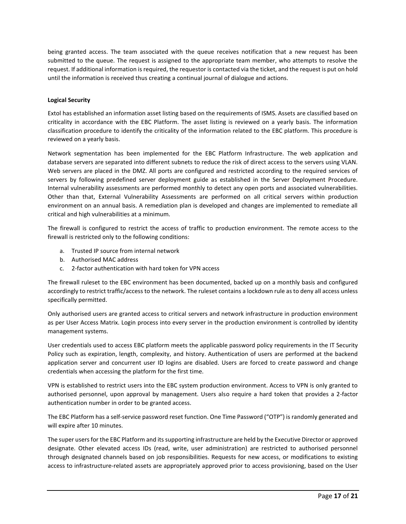being granted access. The team associated with the queue receives notification that a new request has been submitted to the queue. The request is assigned to the appropriate team member, who attempts to resolve the request. If additional information is required, the requestor is contacted via the ticket, and the request is put on hold until the information is received thus creating a continual journal of dialogue and actions.

# **Logical Security**

Extol has established an information asset listing based on the requirements of ISMS. Assets are classified based on criticality in accordance with the EBC Platform. The asset listing is reviewed on a yearly basis. The information classification procedure to identify the criticality of the information related to the EBC platform. This procedure is reviewed on a yearly basis.

Network segmentation has been implemented for the EBC Platform Infrastructure. The web application and database servers are separated into different subnets to reduce the risk of direct access to the servers using VLAN. Web servers are placed in the DMZ. All ports are configured and restricted according to the required services of servers by following predefined server deployment guide as established in the Server Deployment Procedure. Internal vulnerability assessments are performed monthly to detect any open ports and associated vulnerabilities. Other than that, External Vulnerability Assessments are performed on all critical servers within production environment on an annual basis. A remediation plan is developed and changes are implemented to remediate all critical and high vulnerabilities at a minimum.

The firewall is configured to restrict the access of traffic to production environment. The remote access to the firewall is restricted only to the following conditions:

- a. Trusted IP source from internal network
- b. Authorised MAC address
- c. 2-factor authentication with hard token for VPN access

The firewall ruleset to the EBC environment has been documented, backed up on a monthly basis and configured accordingly to restrict traffic/access to the network. The ruleset contains a lockdown rule as to deny all access unless specifically permitted.

Only authorised users are granted access to critical servers and network infrastructure in production environment as per User Access Matrix. Login process into every server in the production environment is controlled by identity management systems.

User credentials used to access EBC platform meets the applicable password policy requirements in the IT Security Policy such as expiration, length, complexity, and history. Authentication of users are performed at the backend application server and concurrent user ID logins are disabled. Users are forced to create password and change credentials when accessing the platform for the first time.

VPN is established to restrict users into the EBC system production environment. Access to VPN is only granted to authorised personnel, upon approval by management. Users also require a hard token that provides a 2-factor authentication number in order to be granted access.

The EBC Platform has a self-service password reset function. One Time Password ("OTP") is randomly generated and will expire after 10 minutes.

The super users for the EBC Platform and its supporting infrastructure are held by the Executive Director or approved designate. Other elevated access IDs (read, write, user administration) are restricted to authorised personnel through designated channels based on job responsibilities. Requests for new access, or modifications to existing access to infrastructure-related assets are appropriately approved prior to access provisioning, based on the User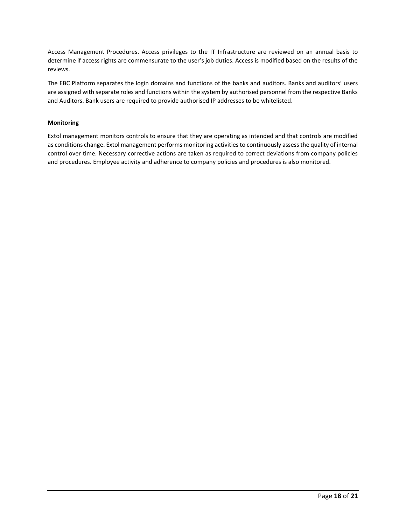Access Management Procedures. Access privileges to the IT Infrastructure are reviewed on an annual basis to determine if access rights are commensurate to the user's job duties. Access is modified based on the results of the reviews.

The EBC Platform separates the login domains and functions of the banks and auditors. Banks and auditors' users are assigned with separate roles and functions within the system by authorised personnel from the respective Banks and Auditors. Bank users are required to provide authorised IP addresses to be whitelisted.

# **Monitoring**

Extol management monitors controls to ensure that they are operating as intended and that controls are modified as conditions change. Extol management performs monitoring activities to continuously assess the quality of internal control over time. Necessary corrective actions are taken as required to correct deviations from company policies and procedures. Employee activity and adherence to company policies and procedures is also monitored.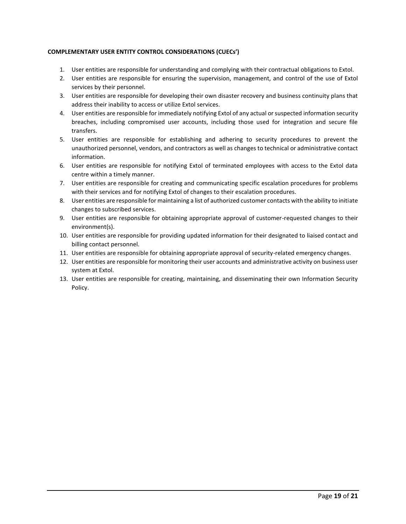# **COMPLEMENTARY USER ENTITY CONTROL CONSIDERATIONS (CUECs')**

- 1. User entities are responsible for understanding and complying with their contractual obligations to Extol.
- 2. User entities are responsible for ensuring the supervision, management, and control of the use of Extol services by their personnel.
- 3. User entities are responsible for developing their own disaster recovery and business continuity plans that address their inability to access or utilize Extol services.
- 4. User entities are responsible for immediately notifying Extol of any actual or suspected information security breaches, including compromised user accounts, including those used for integration and secure file transfers.
- 5. User entities are responsible for establishing and adhering to security procedures to prevent the unauthorized personnel, vendors, and contractors as well as changes to technical or administrative contact information.
- 6. User entities are responsible for notifying Extol of terminated employees with access to the Extol data centre within a timely manner.
- 7. User entities are responsible for creating and communicating specific escalation procedures for problems with their services and for notifying Extol of changes to their escalation procedures.
- 8. User entities are responsible for maintaining a list of authorized customer contacts with the ability to initiate changes to subscribed services.
- 9. User entities are responsible for obtaining appropriate approval of customer-requested changes to their environment(s).
- 10. User entities are responsible for providing updated information for their designated to liaised contact and billing contact personnel.
- 11. User entities are responsible for obtaining appropriate approval of security-related emergency changes.
- 12. User entities are responsible for monitoring their user accounts and administrative activity on business user system at Extol.
- 13. User entities are responsible for creating, maintaining, and disseminating their own Information Security Policy.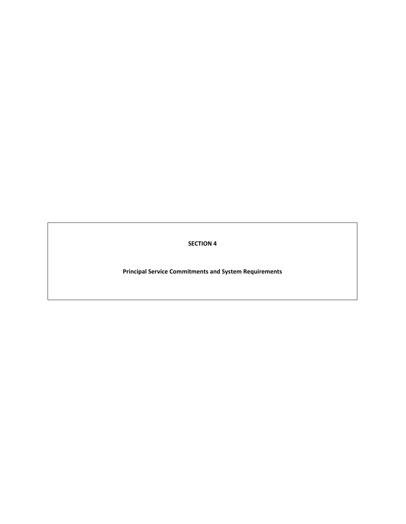**SECTION 4**

**Principal Service Commitments and System Requirements**